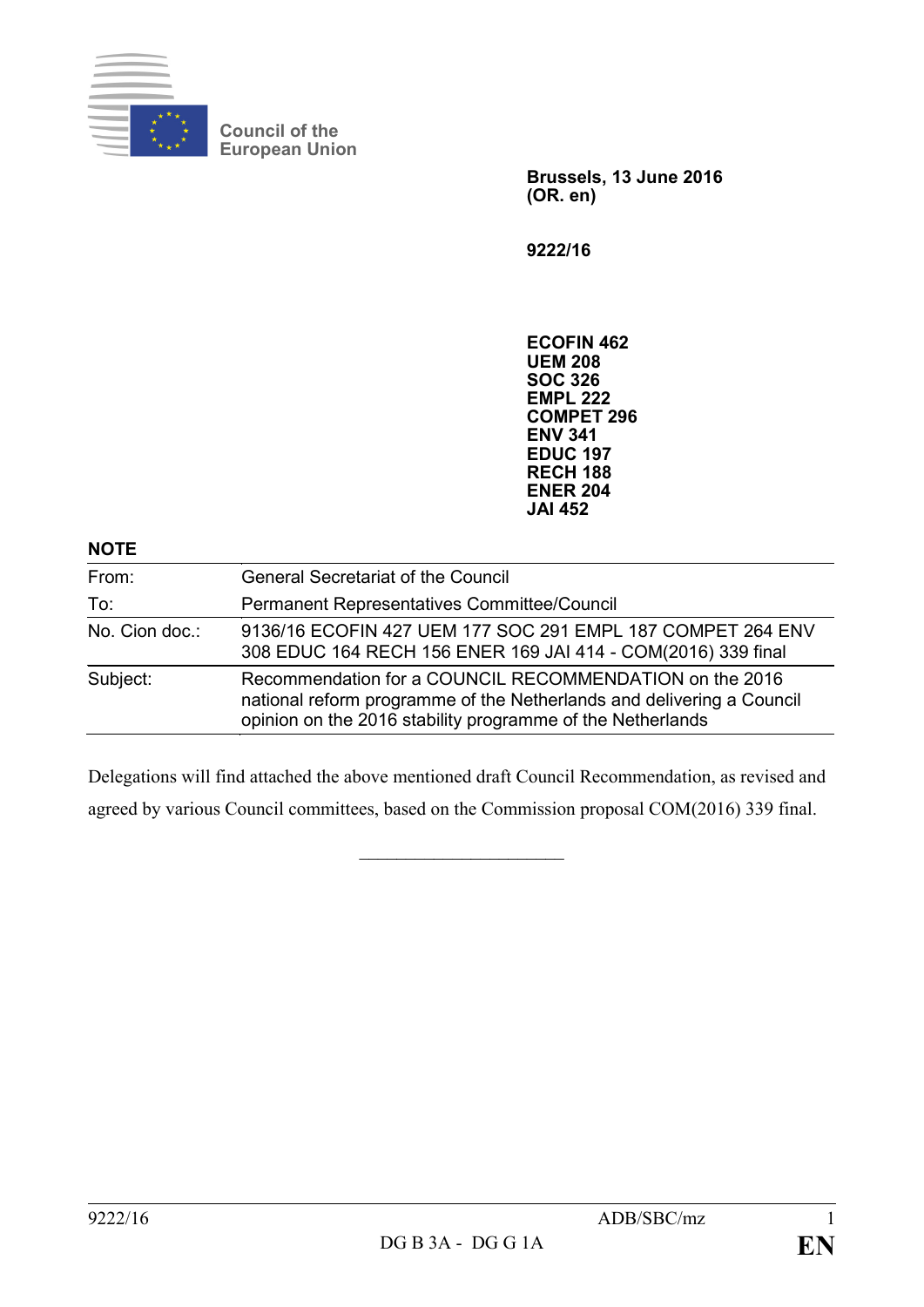

**Council of the European Union**

> **Brussels, 13 June 2016 (OR. en)**

**9222/16**

**ECOFIN 462 UEM 208 SOC 326 EMPL 222 COMPET 296 ENV 341 EDUC 197 RECH 188 ENER 204 JAI 452**

## **NOTE**

| From:          | <b>General Secretariat of the Council</b>                                                                                                                                                      |
|----------------|------------------------------------------------------------------------------------------------------------------------------------------------------------------------------------------------|
| To:            | Permanent Representatives Committee/Council                                                                                                                                                    |
| No. Cion doc.: | 9136/16 ECOFIN 427 UEM 177 SOC 291 EMPL 187 COMPET 264 ENV<br>308 EDUC 164 RECH 156 ENER 169 JAI 414 - COM(2016) 339 final                                                                     |
| Subject:       | Recommendation for a COUNCIL RECOMMENDATION on the 2016<br>national reform programme of the Netherlands and delivering a Council<br>opinion on the 2016 stability programme of the Netherlands |

Delegations will find attached the above mentioned draft Council Recommendation, as revised and agreed by various Council committees, based on the Commission proposal COM(2016) 339 final.

 $\overline{\phantom{a}}$  , which is a set of the set of the set of the set of the set of the set of the set of the set of the set of the set of the set of the set of the set of the set of the set of the set of the set of the set of th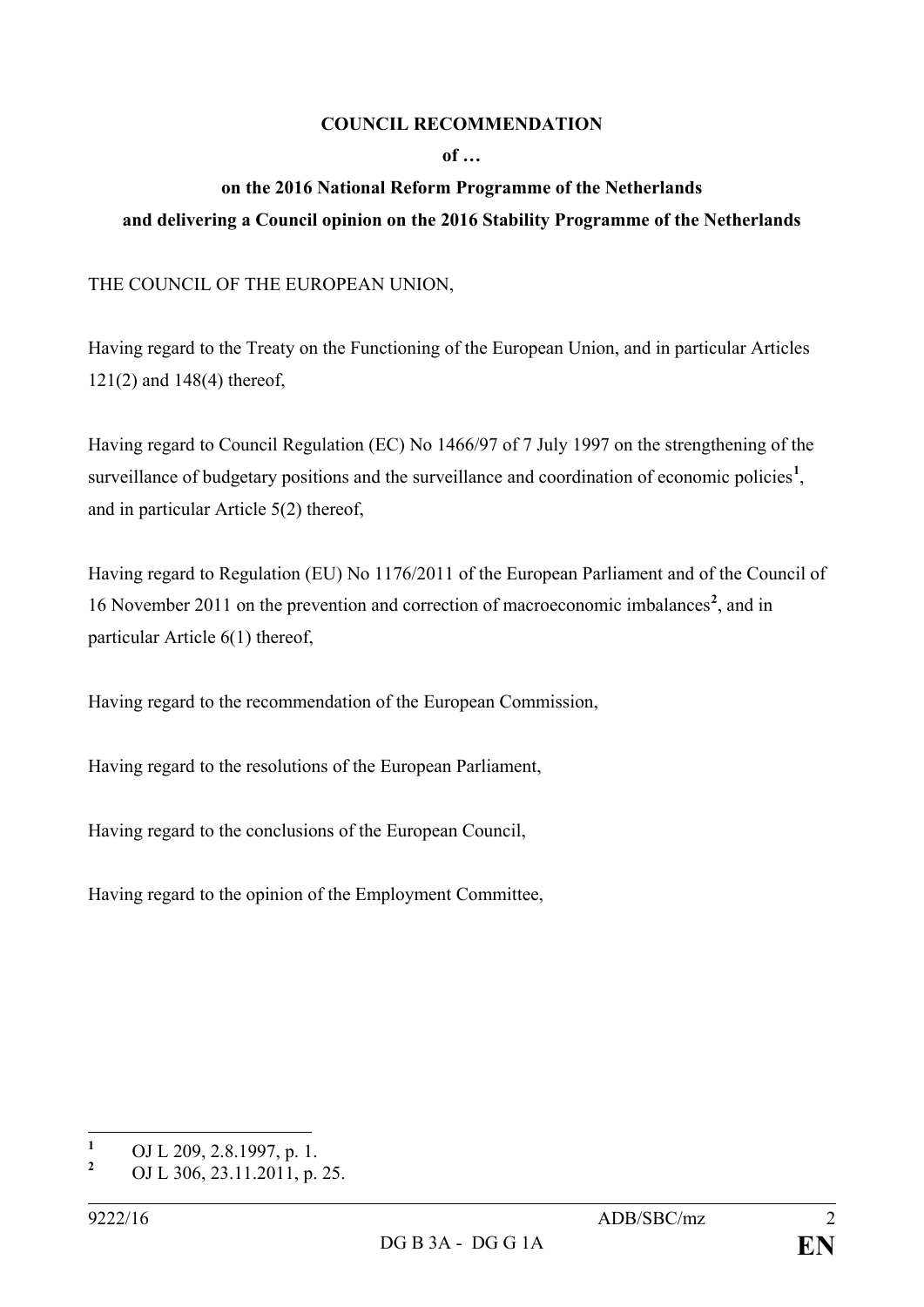## **COUNCIL RECOMMENDATION**

## **of …**

## **on the 2016 National Reform Programme of the Netherlands and delivering a Council opinion on the 2016 Stability Programme of the Netherlands**

THE COUNCIL OF THE EUROPEAN UNION,

Having regard to the Treaty on the Functioning of the European Union, and in particular Articles 121(2) and 148(4) thereof,

Having regard to Council Regulation (EC) No 1466/97 of 7 July 1997 on the strengthening of the surveillance of budgetary positions and the surveillance and coordination of economic policies<sup>[1](#page-1-0)</sup>, and in particular Article 5(2) thereof,

Having regard to Regulation (EU) No 1176/2011 of the European Parliament and of the Council of 16 November 2011 on the prevention and correction of macroeconomic imbalances**[2](#page-1-1)** , and in particular Article 6(1) thereof,

Having regard to the recommendation of the European Commission,

Having regard to the resolutions of the European Parliament,

Having regard to the conclusions of the European Council,

Having regard to the opinion of the Employment Committee,

<span id="page-1-0"></span>**<sup>1</sup>** OJ L 209, 2.8.1997, p. 1.

<span id="page-1-1"></span>**<sup>2</sup>** OJ L 306, 23.11.2011, p. 25.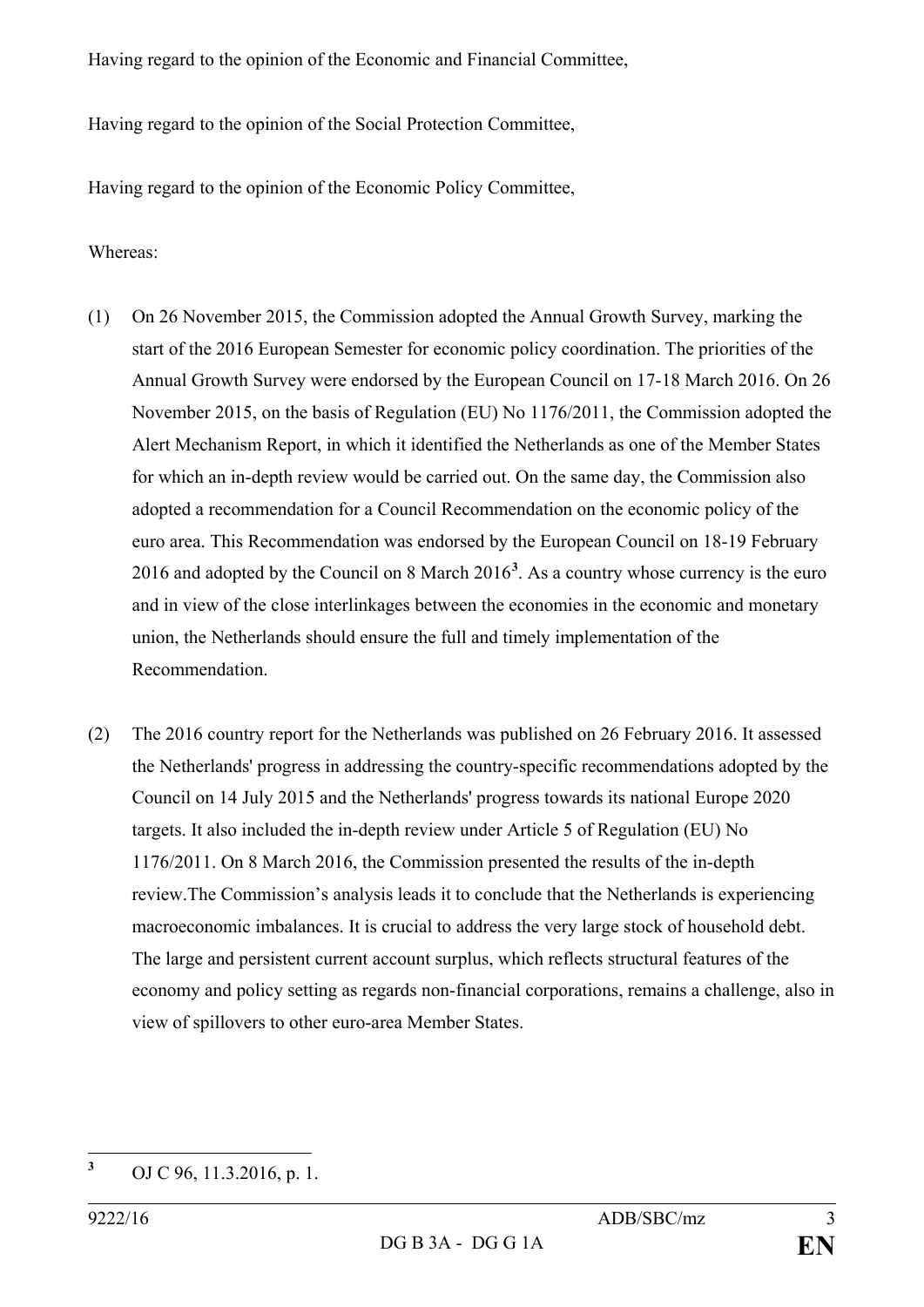Having regard to the opinion of the Economic and Financial Committee,

Having regard to the opinion of the Social Protection Committee,

Having regard to the opinion of the Economic Policy Committee,

Whereas:

- (1) On 26 November 2015, the Commission adopted the Annual Growth Survey, marking the start of the 2016 European Semester for economic policy coordination. The priorities of the Annual Growth Survey were endorsed by the European Council on 17-18 March 2016. On 26 November 2015, on the basis of Regulation (EU) No 1176/2011, the Commission adopted the Alert Mechanism Report, in which it identified the Netherlands as one of the Member States for which an in-depth review would be carried out. On the same day, the Commission also adopted a recommendation for a Council Recommendation on the economic policy of the euro area. This Recommendation was endorsed by the European Council on 18-19 February 2016 and adopted by the Council on 8 March 2016**[3](#page-2-0)** . As a country whose currency is the euro and in view of the close interlinkages between the economies in the economic and monetary union, the Netherlands should ensure the full and timely implementation of the Recommendation.
- (2) The 2016 country report for the Netherlands was published on 26 February 2016. It assessed the Netherlands' progress in addressing the country-specific recommendations adopted by the Council on 14 July 2015 and the Netherlands' progress towards its national Europe 2020 targets. It also included the in-depth review under Article 5 of Regulation (EU) No 1176/2011. On 8 March 2016, the Commission presented the results of the in-depth review.The Commission's analysis leads it to conclude that the Netherlands is experiencing macroeconomic imbalances. It is crucial to address the very large stock of household debt. The large and persistent current account surplus, which reflects structural features of the economy and policy setting as regards non-financial corporations, remains a challenge, also in view of spillovers to other euro-area Member States.

<span id="page-2-0"></span>**<sup>3</sup>** OJ C 96, 11.3.2016, p. 1.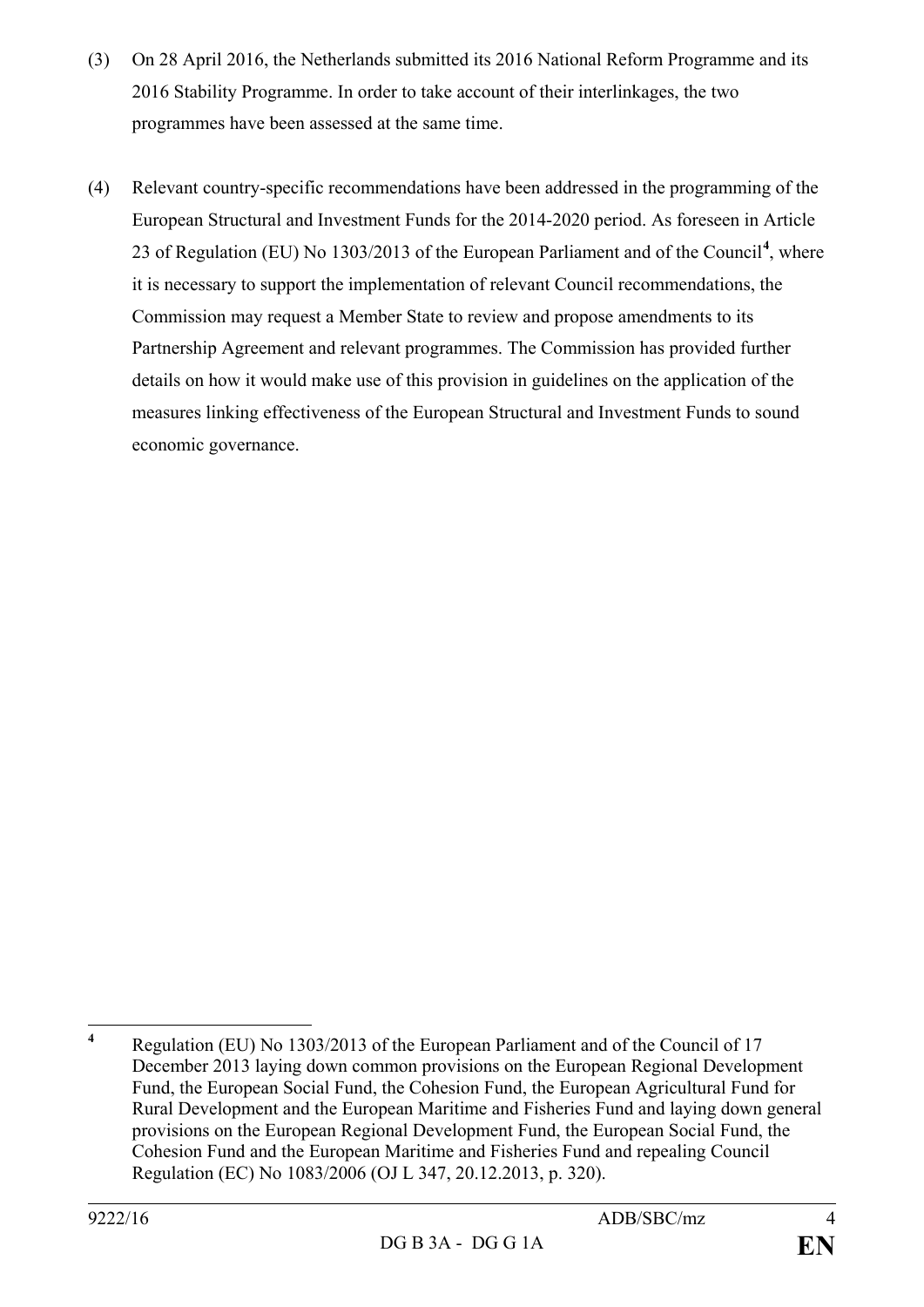- (3) On 28 April 2016, the Netherlands submitted its 2016 National Reform Programme and its 2016 Stability Programme. In order to take account of their interlinkages, the two programmes have been assessed at the same time.
- (4) Relevant country-specific recommendations have been addressed in the programming of the European Structural and Investment Funds for the 2014-2020 period. As foreseen in Article 23 of Regulation (EU) No 1303/2013 of the European Parliament and of the Council**[4](#page-3-0)** , where it is necessary to support the implementation of relevant Council recommendations, the Commission may request a Member State to review and propose amendments to its Partnership Agreement and relevant programmes. The Commission has provided further details on how it would make use of this provision in guidelines on the application of the measures linking effectiveness of the European Structural and Investment Funds to sound economic governance.

<span id="page-3-0"></span>**<sup>4</sup>** Regulation (EU) No 1303/2013 of the European Parliament and of the Council of 17 December 2013 laying down common provisions on the European Regional Development Fund, the European Social Fund, the Cohesion Fund, the European Agricultural Fund for Rural Development and the European Maritime and Fisheries Fund and laying down general provisions on the European Regional Development Fund, the European Social Fund, the Cohesion Fund and the European Maritime and Fisheries Fund and repealing Council Regulation (EC) No 1083/2006 (OJ L 347, 20.12.2013, p. 320).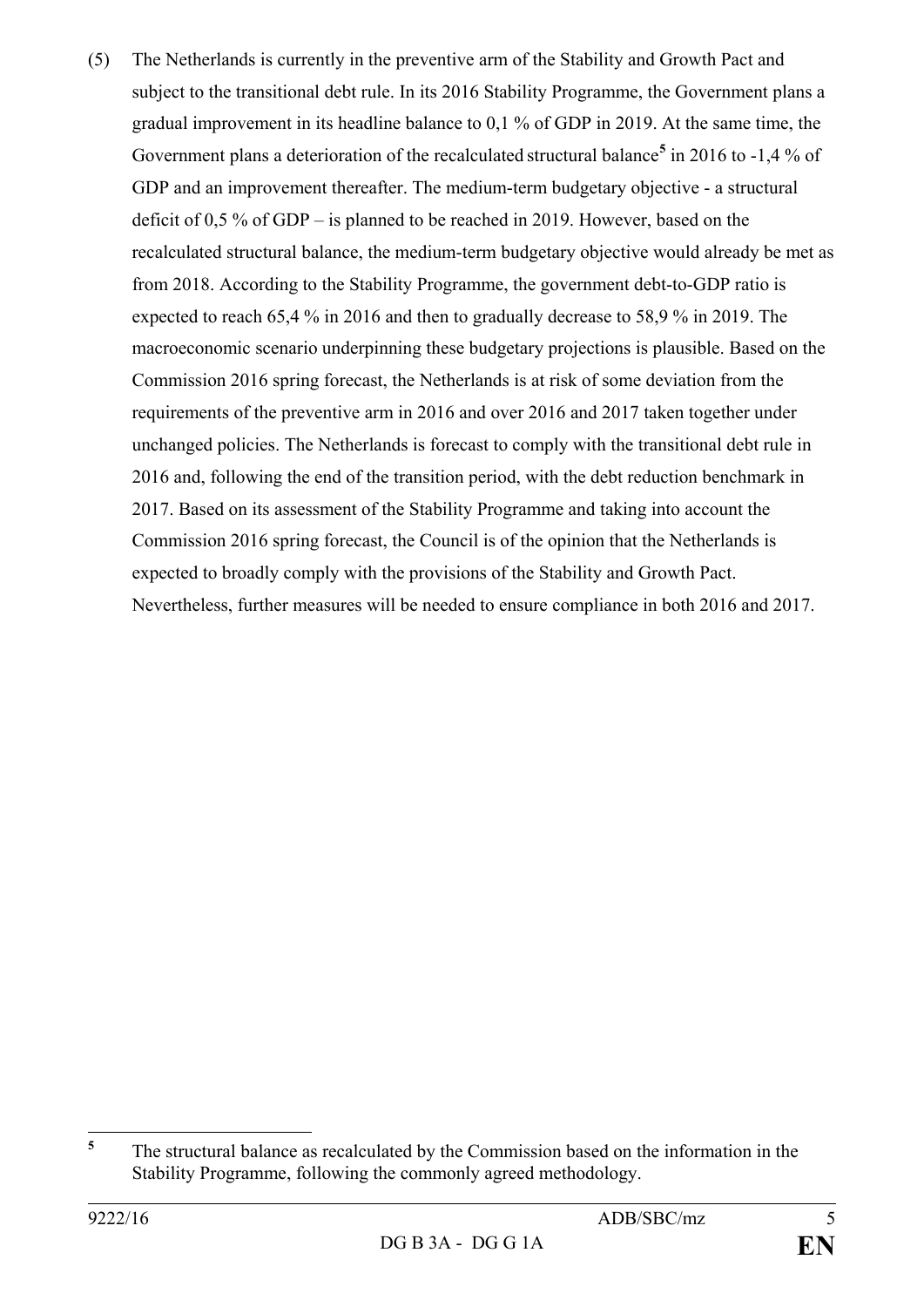(5) The Netherlands is currently in the preventive arm of the Stability and Growth Pact and subject to the transitional debt rule. In its 2016 Stability Programme, the Government plans a gradual improvement in its headline balance to 0,1 % of GDP in 2019. At the same time, the Government plans a deterioration of the recalculated structural balance**[5](#page-4-0)** in 2016 to -1,4 % of GDP and an improvement thereafter. The medium-term budgetary objective - a structural deficit of 0,5 % of GDP – is planned to be reached in 2019. However, based on the recalculated structural balance, the medium-term budgetary objective would already be met as from 2018. According to the Stability Programme, the government debt-to-GDP ratio is expected to reach 65,4 % in 2016 and then to gradually decrease to 58,9 % in 2019. The macroeconomic scenario underpinning these budgetary projections is plausible. Based on the Commission 2016 spring forecast, the Netherlands is at risk of some deviation from the requirements of the preventive arm in 2016 and over 2016 and 2017 taken together under unchanged policies. The Netherlands is forecast to comply with the transitional debt rule in 2016 and, following the end of the transition period, with the debt reduction benchmark in 2017. Based on its assessment of the Stability Programme and taking into account the Commission 2016 spring forecast, the Council is of the opinion that the Netherlands is expected to broadly comply with the provisions of the Stability and Growth Pact. Nevertheless, further measures will be needed to ensure compliance in both 2016 and 2017.

<span id="page-4-0"></span>**<sup>5</sup>** The structural balance as recalculated by the Commission based on the information in the Stability Programme, following the commonly agreed methodology.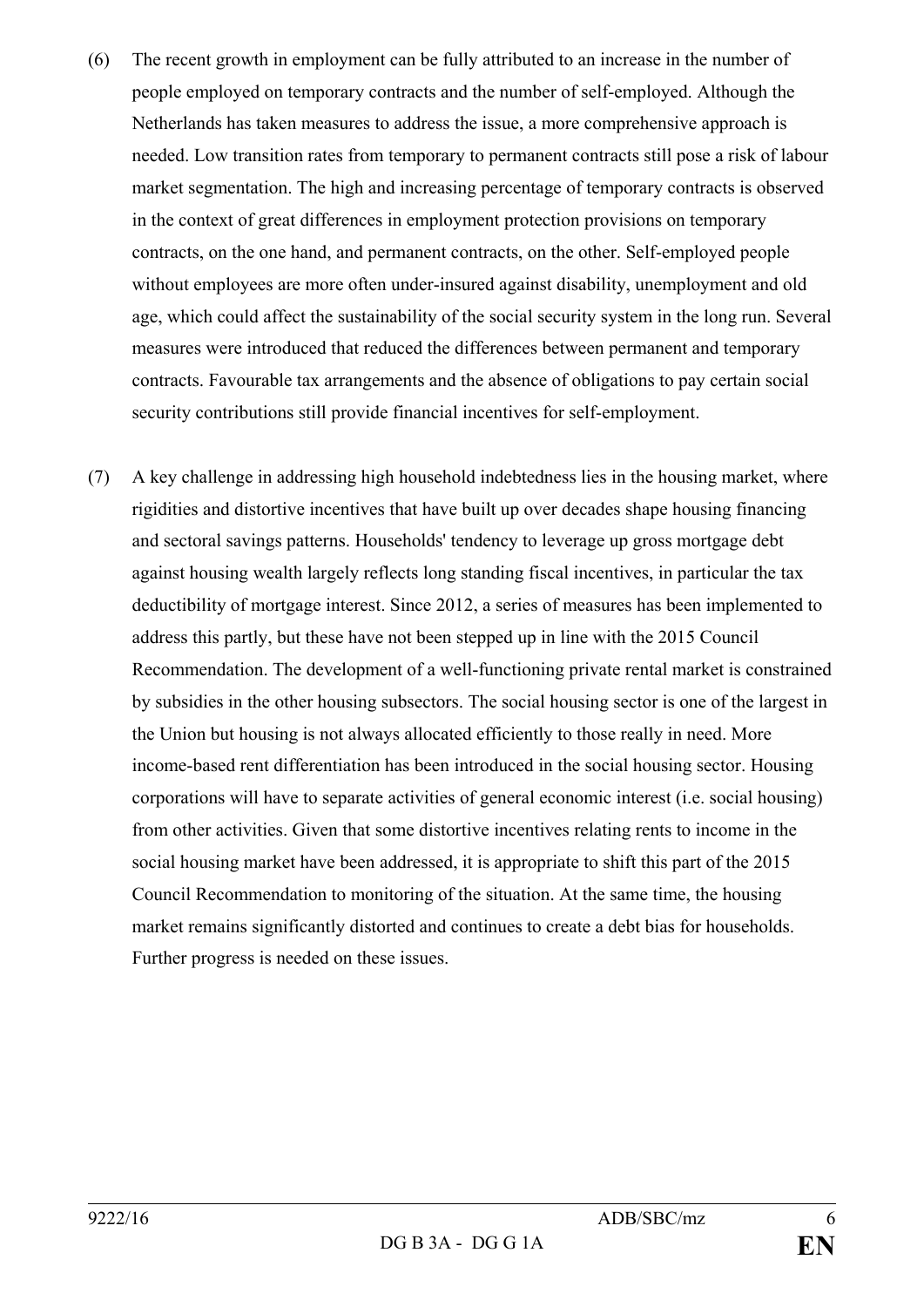- (6) The recent growth in employment can be fully attributed to an increase in the number of people employed on temporary contracts and the number of self-employed. Although the Netherlands has taken measures to address the issue, a more comprehensive approach is needed. Low transition rates from temporary to permanent contracts still pose a risk of labour market segmentation. The high and increasing percentage of temporary contracts is observed in the context of great differences in employment protection provisions on temporary contracts, on the one hand, and permanent contracts, on the other. Self-employed people without employees are more often under-insured against disability, unemployment and old age, which could affect the sustainability of the social security system in the long run. Several measures were introduced that reduced the differences between permanent and temporary contracts. Favourable tax arrangements and the absence of obligations to pay certain social security contributions still provide financial incentives for self-employment.
- (7) A key challenge in addressing high household indebtedness lies in the housing market, where rigidities and distortive incentives that have built up over decades shape housing financing and sectoral savings patterns. Households' tendency to leverage up gross mortgage debt against housing wealth largely reflects long standing fiscal incentives, in particular the tax deductibility of mortgage interest. Since 2012, a series of measures has been implemented to address this partly, but these have not been stepped up in line with the 2015 Council Recommendation. The development of a well-functioning private rental market is constrained by subsidies in the other housing subsectors. The social housing sector is one of the largest in the Union but housing is not always allocated efficiently to those really in need. More income-based rent differentiation has been introduced in the social housing sector. Housing corporations will have to separate activities of general economic interest (i.e. social housing) from other activities. Given that some distortive incentives relating rents to income in the social housing market have been addressed, it is appropriate to shift this part of the 2015 Council Recommendation to monitoring of the situation. At the same time, the housing market remains significantly distorted and continues to create a debt bias for households. Further progress is needed on these issues.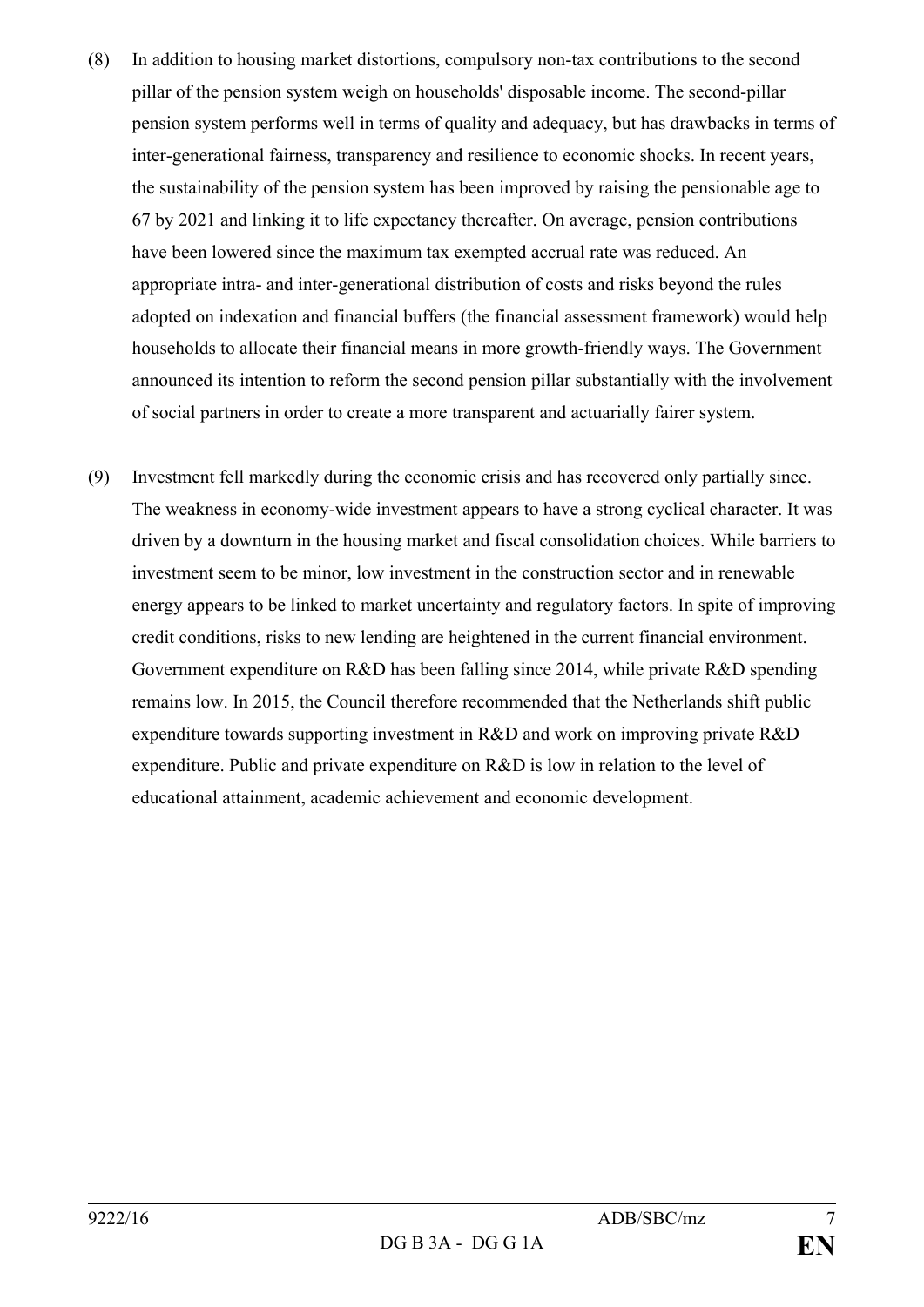- (8) In addition to housing market distortions, compulsory non-tax contributions to the second pillar of the pension system weigh on households' disposable income. The second-pillar pension system performs well in terms of quality and adequacy, but has drawbacks in terms of inter-generational fairness, transparency and resilience to economic shocks. In recent years, the sustainability of the pension system has been improved by raising the pensionable age to 67 by 2021 and linking it to life expectancy thereafter. On average, pension contributions have been lowered since the maximum tax exempted accrual rate was reduced. An appropriate intra- and inter-generational distribution of costs and risks beyond the rules adopted on indexation and financial buffers (the financial assessment framework) would help households to allocate their financial means in more growth-friendly ways. The Government announced its intention to reform the second pension pillar substantially with the involvement of social partners in order to create a more transparent and actuarially fairer system.
- (9) Investment fell markedly during the economic crisis and has recovered only partially since. The weakness in economy-wide investment appears to have a strong cyclical character. It was driven by a downturn in the housing market and fiscal consolidation choices. While barriers to investment seem to be minor, low investment in the construction sector and in renewable energy appears to be linked to market uncertainty and regulatory factors. In spite of improving credit conditions, risks to new lending are heightened in the current financial environment. Government expenditure on R&D has been falling since 2014, while private R&D spending remains low. In 2015, the Council therefore recommended that the Netherlands shift public expenditure towards supporting investment in R&D and work on improving private R&D expenditure. Public and private expenditure on R&D is low in relation to the level of educational attainment, academic achievement and economic development.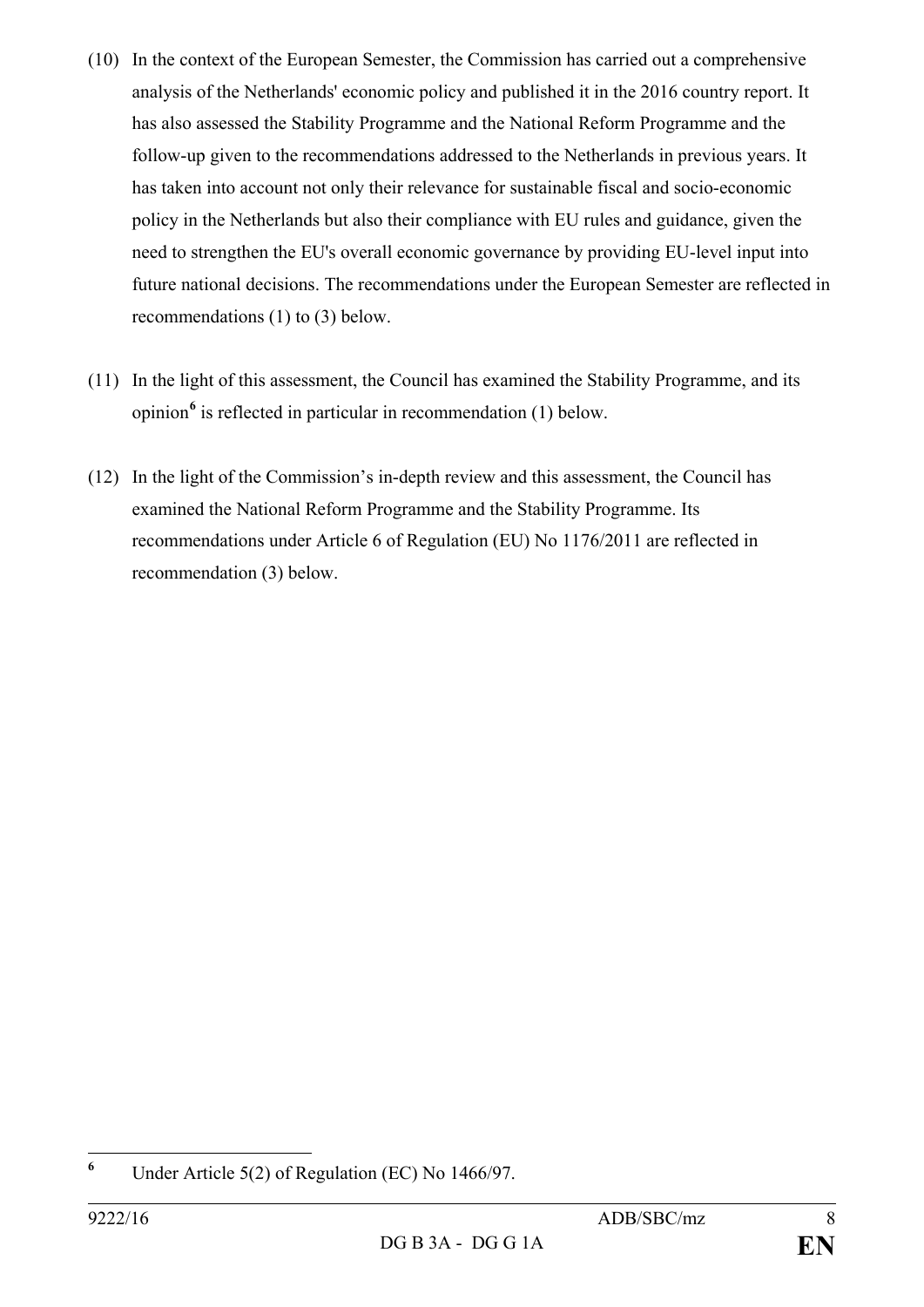- (10) In the context of the European Semester, the Commission has carried out a comprehensive analysis of the Netherlands' economic policy and published it in the 2016 country report. It has also assessed the Stability Programme and the National Reform Programme and the follow-up given to the recommendations addressed to the Netherlands in previous years. It has taken into account not only their relevance for sustainable fiscal and socio-economic policy in the Netherlands but also their compliance with EU rules and guidance, given the need to strengthen the EU's overall economic governance by providing EU-level input into future national decisions. The recommendations under the European Semester are reflected in recommendations (1) to (3) below.
- (11) In the light of this assessment, the Council has examined the Stability Programme, and its opinion**[6](#page-7-0)** is reflected in particular in recommendation (1) below.
- (12) In the light of the Commission's in-depth review and this assessment, the Council has examined the National Reform Programme and the Stability Programme. Its recommendations under Article 6 of Regulation (EU) No 1176/2011 are reflected in recommendation (3) below.

<span id="page-7-0"></span>**<sup>6</sup>** Under Article 5(2) of Regulation (EC) No 1466/97.